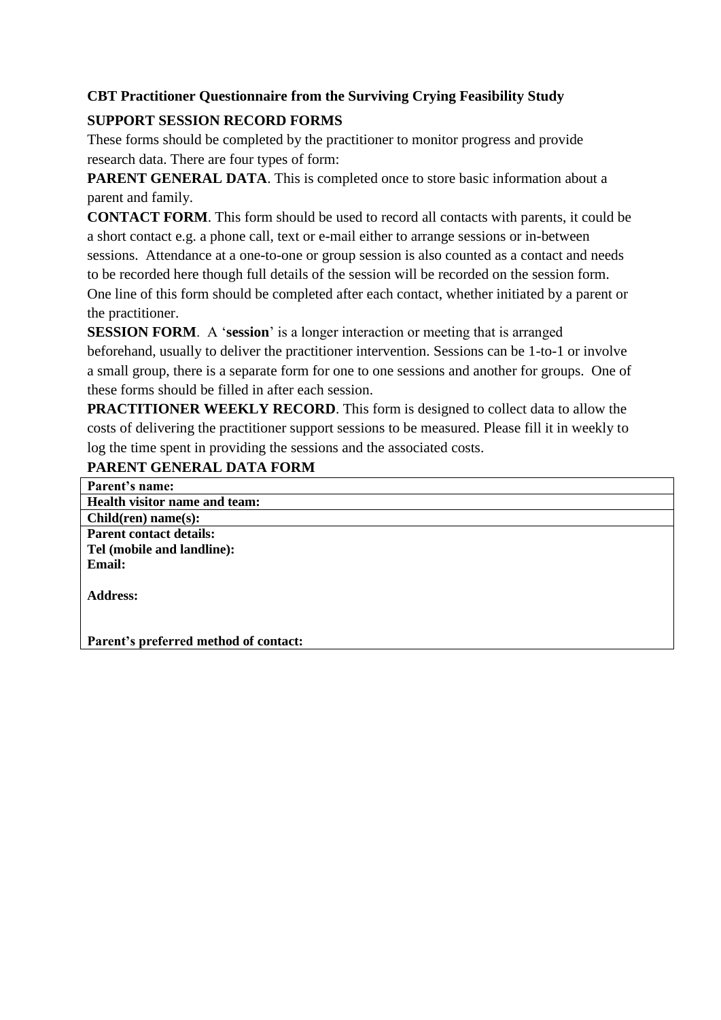## **CBT Practitioner Questionnaire from the Surviving Crying Feasibility Study**

## **SUPPORT SESSION RECORD FORMS**

These forms should be completed by the practitioner to monitor progress and provide research data. There are four types of form:

**PARENT GENERAL DATA**. This is completed once to store basic information about a parent and family.

**CONTACT FORM**. This form should be used to record all contacts with parents, it could be a short contact e.g. a phone call, text or e-mail either to arrange sessions or in-between sessions. Attendance at a one-to-one or group session is also counted as a contact and needs to be recorded here though full details of the session will be recorded on the session form. One line of this form should be completed after each contact, whether initiated by a parent or the practitioner.

**SESSION FORM**. A '**session**' is a longer interaction or meeting that is arranged beforehand, usually to deliver the practitioner intervention. Sessions can be 1-to-1 or involve a small group, there is a separate form for one to one sessions and another for groups. One of these forms should be filled in after each session.

**PRACTITIONER WEEKLY RECORD**. This form is designed to collect data to allow the costs of delivering the practitioner support sessions to be measured. Please fill it in weekly to log the time spent in providing the sessions and the associated costs.

## **PARENT GENERAL DATA FORM**

| Parent's name:                        |
|---------------------------------------|
| Health visitor name and team:         |
| Children) name(s):                    |
| <b>Parent contact details:</b>        |
| Tel (mobile and landline):            |
| <b>Email:</b>                         |
| <b>Address:</b>                       |
|                                       |
|                                       |
| Parent's preferred method of contact: |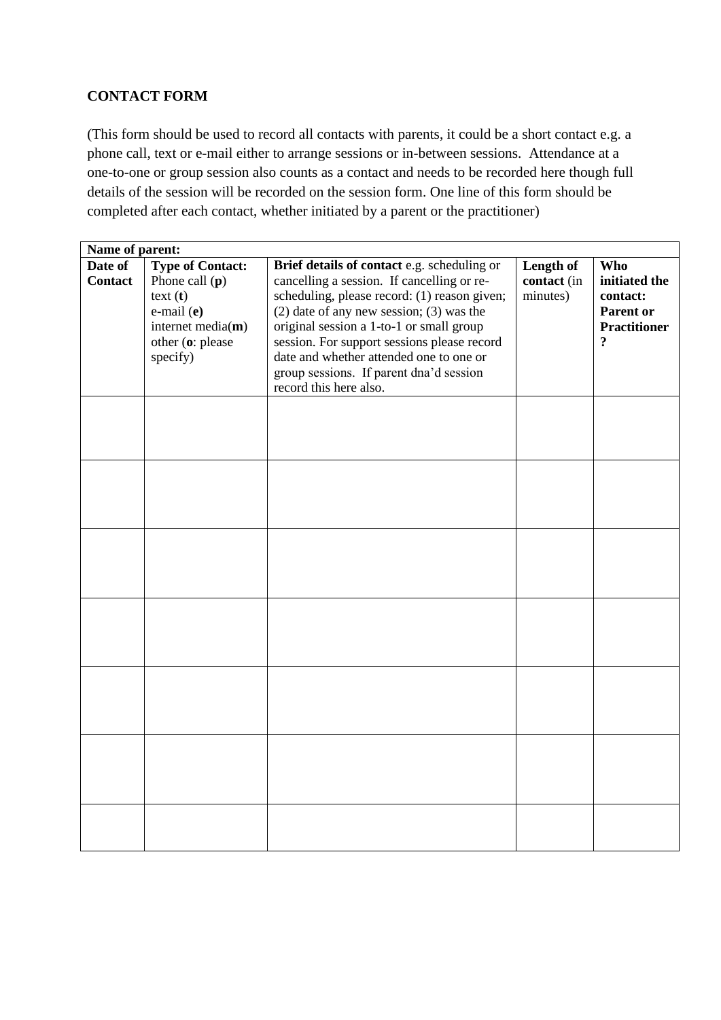## **CONTACT FORM**

(This form should be used to record all contacts with parents, it could be a short contact e.g. a phone call, text or e-mail either to arrange sessions or in-between sessions. Attendance at a one-to-one or group session also counts as a contact and needs to be recorded here though full details of the session will be recorded on the session form. One line of this form should be completed after each contact, whether initiated by a parent or the practitioner)

| Name of parent:    |                                                                                                                                        |                                                                                                                                                                                                                                                                                                                                                                                                      |                                      |                                                                                                                  |
|--------------------|----------------------------------------------------------------------------------------------------------------------------------------|------------------------------------------------------------------------------------------------------------------------------------------------------------------------------------------------------------------------------------------------------------------------------------------------------------------------------------------------------------------------------------------------------|--------------------------------------|------------------------------------------------------------------------------------------------------------------|
| Date of<br>Contact | <b>Type of Contact:</b><br>Phone call $(p)$<br>$text{ text (t)}$<br>e-mail (e)<br>internet media $(m)$<br>other (o: please<br>specify) | Brief details of contact e.g. scheduling or<br>cancelling a session. If cancelling or re-<br>scheduling, please record: (1) reason given;<br>$(2)$ date of any new session; $(3)$ was the<br>original session a 1-to-1 or small group<br>session. For support sessions please record<br>date and whether attended one to one or<br>group sessions. If parent dna'd session<br>record this here also. | Length of<br>contact (in<br>minutes) | <b>Who</b><br>initiated the<br>contact:<br><b>Parent or</b><br><b>Practitioner</b><br>$\boldsymbol{\mathcal{P}}$ |
|                    |                                                                                                                                        |                                                                                                                                                                                                                                                                                                                                                                                                      |                                      |                                                                                                                  |
|                    |                                                                                                                                        |                                                                                                                                                                                                                                                                                                                                                                                                      |                                      |                                                                                                                  |
|                    |                                                                                                                                        |                                                                                                                                                                                                                                                                                                                                                                                                      |                                      |                                                                                                                  |
|                    |                                                                                                                                        |                                                                                                                                                                                                                                                                                                                                                                                                      |                                      |                                                                                                                  |
|                    |                                                                                                                                        |                                                                                                                                                                                                                                                                                                                                                                                                      |                                      |                                                                                                                  |
|                    |                                                                                                                                        |                                                                                                                                                                                                                                                                                                                                                                                                      |                                      |                                                                                                                  |
|                    |                                                                                                                                        |                                                                                                                                                                                                                                                                                                                                                                                                      |                                      |                                                                                                                  |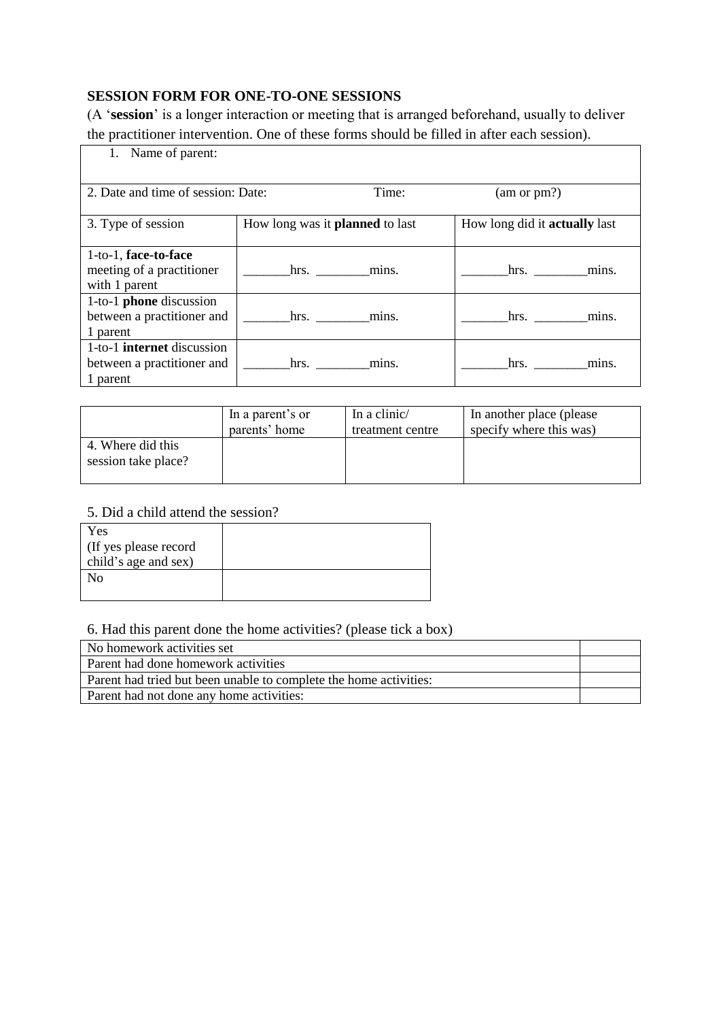# **SESSION FORM FOR ONE-TO-ONE SESSIONS**

(A '**session**' is a longer interaction or meeting that is arranged beforehand, usually to deliver the practitioner intervention. One of these forms should be filled in after each session).

| 1. Name of parent:                                                          |                                        |                                      |  |  |
|-----------------------------------------------------------------------------|----------------------------------------|--------------------------------------|--|--|
| 2. Date and time of session: Date:                                          | Time:                                  | (am or pm?)                          |  |  |
| 3. Type of session                                                          | How long was it <b>planned</b> to last | How long did it <b>actually</b> last |  |  |
| 1-to-1, face-to-face<br>meeting of a practitioner<br>with 1 parent          | mins.<br>hrs.                          | mins.<br>hrs.                        |  |  |
| 1-to-1 phone discussion<br>between a practitioner and<br>1 parent           | hrs.<br>mins.                          | mins.                                |  |  |
| 1-to-1 <b>internet</b> discussion<br>between a practitioner and<br>1 parent | mins.<br>hrs.                          | hrs.<br>mins.                        |  |  |

|                                          | In a parent's or | In a clinic/     | In another place (please) |
|------------------------------------------|------------------|------------------|---------------------------|
|                                          | parents' home    | treatment centre | specify where this was)   |
| 4. Where did this<br>session take place? |                  |                  |                           |

## 5. Did a child attend the session?

| Yes                    |  |
|------------------------|--|
| (If yes please record) |  |
| child's age and sex)   |  |
| Nο                     |  |
|                        |  |

#### 6. Had this parent done the home activities? (please tick a box)

| No homework activities set                                        |  |
|-------------------------------------------------------------------|--|
| Parent had done homework activities                               |  |
| Parent had tried but been unable to complete the home activities: |  |
| Parent had not done any home activities:                          |  |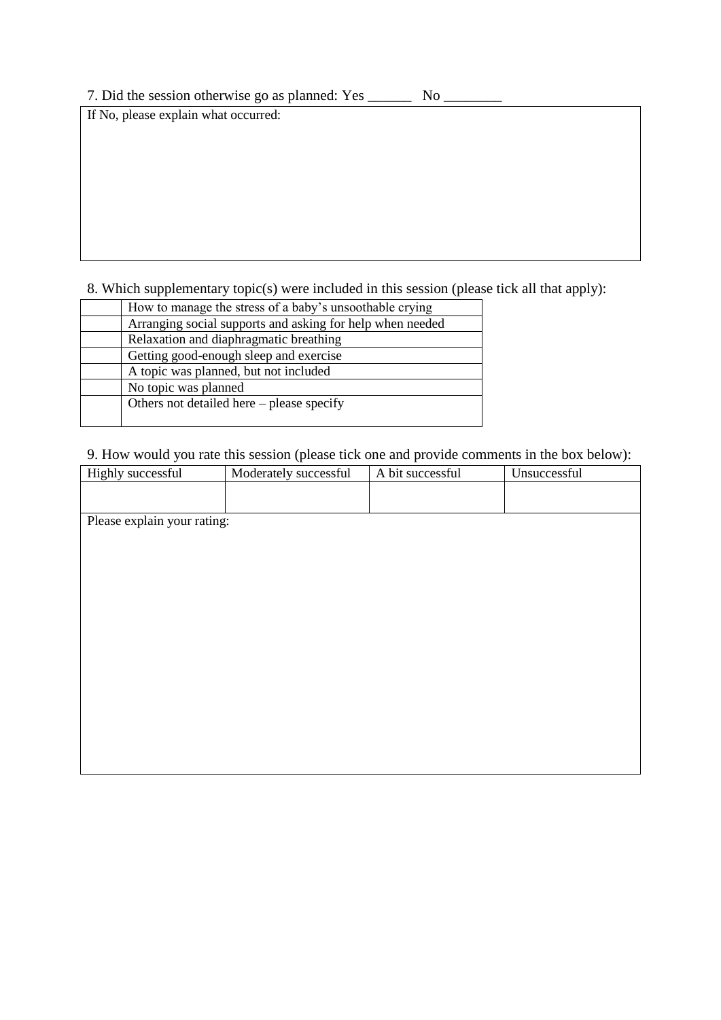7. Did the session otherwise go as planned: Yes \_\_\_\_\_\_ No \_\_\_\_\_\_\_\_

If No, please explain what occurred:

8. Which supplementary topic(s) were included in this session (please tick all that apply):

| How to manage the stress of a baby's unsoothable crying   |
|-----------------------------------------------------------|
| Arranging social supports and asking for help when needed |
| Relaxation and diaphragmatic breathing                    |
| Getting good-enough sleep and exercise                    |
| A topic was planned, but not included                     |
| No topic was planned                                      |
| Others not detailed here $-$ please specify               |
|                                                           |

9. How would you rate this session (please tick one and provide comments in the box below):

| Please explain your rating: | Highly successful | Moderately successful | A bit successful | Unsuccessful |
|-----------------------------|-------------------|-----------------------|------------------|--------------|
|                             |                   |                       |                  |              |
|                             |                   |                       |                  |              |
|                             |                   |                       |                  |              |
|                             |                   |                       |                  |              |
|                             |                   |                       |                  |              |
|                             |                   |                       |                  |              |
|                             |                   |                       |                  |              |
|                             |                   |                       |                  |              |
|                             |                   |                       |                  |              |
|                             |                   |                       |                  |              |
|                             |                   |                       |                  |              |
|                             |                   |                       |                  |              |
|                             |                   |                       |                  |              |
|                             |                   |                       |                  |              |
|                             |                   |                       |                  |              |
|                             |                   |                       |                  |              |
|                             |                   |                       |                  |              |
|                             |                   |                       |                  |              |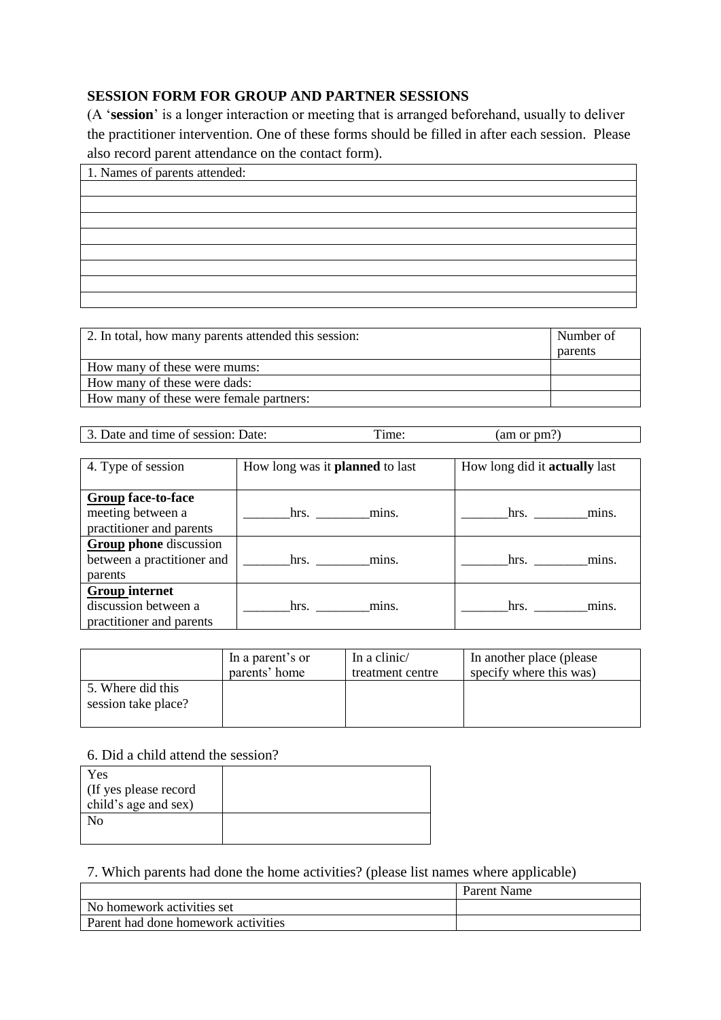## **SESSION FORM FOR GROUP AND PARTNER SESSIONS**

(A '**session**' is a longer interaction or meeting that is arranged beforehand, usually to deliver the practitioner intervention. One of these forms should be filled in after each session. Please also record parent attendance on the contact form).

| 1. Names of parents attended: |
|-------------------------------|
|                               |
|                               |
|                               |
|                               |
|                               |
|                               |
|                               |
|                               |

| 2. In total, how many parents attended this session: | Number of |
|------------------------------------------------------|-----------|
|                                                      | parents   |
| How many of these were mums:                         |           |
| How many of these were dads:                         |           |
| How many of these were female partners:              |           |
|                                                      |           |

3. Date and time of session: Date: Time: (am or pm?)

| 4. Type of session            | How long was it <b>planned</b> to last | How long did it <b>actually</b> last |
|-------------------------------|----------------------------------------|--------------------------------------|
|                               |                                        |                                      |
| <b>Group face-to-face</b>     |                                        |                                      |
| meeting between a             | hrs. mins.                             | hrs. $\qquad$<br>mins.               |
| practitioner and parents      |                                        |                                      |
| <b>Group phone</b> discussion |                                        |                                      |
| between a practitioner and    | hrs. mins.                             | hrs.<br>mins.                        |
| parents                       |                                        |                                      |
| <b>Group internet</b>         |                                        |                                      |
| discussion between a          | hrs.<br>mins.                          | hrs.<br>mins.                        |
| practitioner and parents      |                                        |                                      |

|                                          | In a parent's or | In a clinic/     | In another place (please) |
|------------------------------------------|------------------|------------------|---------------------------|
|                                          | parents' home    | treatment centre | specify where this was)   |
| 5. Where did this<br>session take place? |                  |                  |                           |

#### 6. Did a child attend the session?

| Yes<br>If yes please record<br>child's age and sex) |  |
|-----------------------------------------------------|--|
| Nο                                                  |  |

#### 7. Which parents had done the home activities? (please list names where applicable)

|                                            | Parent Name |
|--------------------------------------------|-------------|
| No homework activities set                 |             |
| <b>Parent had done homework activities</b> |             |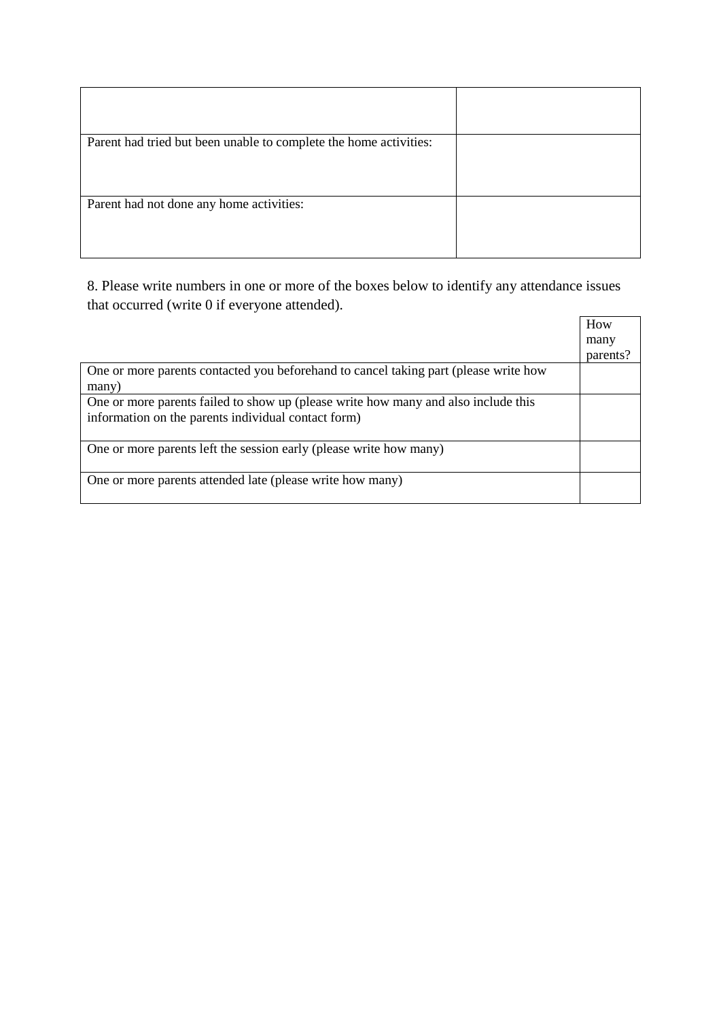| Parent had tried but been unable to complete the home activities: |  |
|-------------------------------------------------------------------|--|
| Parent had not done any home activities:                          |  |

8. Please write numbers in one or more of the boxes below to identify any attendance issues that occurred (write 0 if everyone attended).

|                                                                                                                                           | How<br>many |
|-------------------------------------------------------------------------------------------------------------------------------------------|-------------|
|                                                                                                                                           | parents?    |
| One or more parents contacted you beforehand to cancel taking part (please write how<br>many)                                             |             |
| One or more parents failed to show up (please write how many and also include this<br>information on the parents individual contact form) |             |
| One or more parents left the session early (please write how many)                                                                        |             |
| One or more parents attended late (please write how many)                                                                                 |             |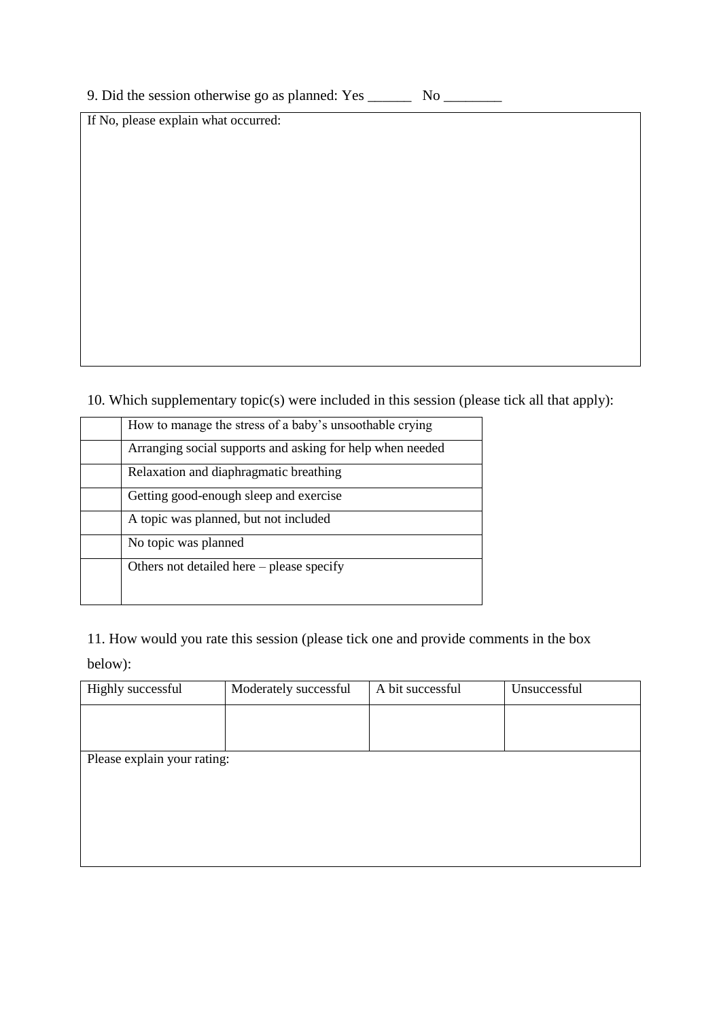| 9. Did the session otherwise go as planned: Yes |  |  | No. |
|-------------------------------------------------|--|--|-----|
|-------------------------------------------------|--|--|-----|

If No, please explain what occurred:

10. Which supplementary topic(s) were included in this session (please tick all that apply):

| How to manage the stress of a baby's unsoothable crying   |
|-----------------------------------------------------------|
| Arranging social supports and asking for help when needed |
| Relaxation and diaphragmatic breathing                    |
| Getting good-enough sleep and exercise                    |
| A topic was planned, but not included                     |
| No topic was planned                                      |
| Others not detailed here – please specify                 |
|                                                           |

11. How would you rate this session (please tick one and provide comments in the box below):

| Highly successful           | Moderately successful | A bit successful | Unsuccessful |
|-----------------------------|-----------------------|------------------|--------------|
|                             |                       |                  |              |
|                             |                       |                  |              |
| Please explain your rating: |                       |                  |              |
|                             |                       |                  |              |
|                             |                       |                  |              |
|                             |                       |                  |              |
|                             |                       |                  |              |